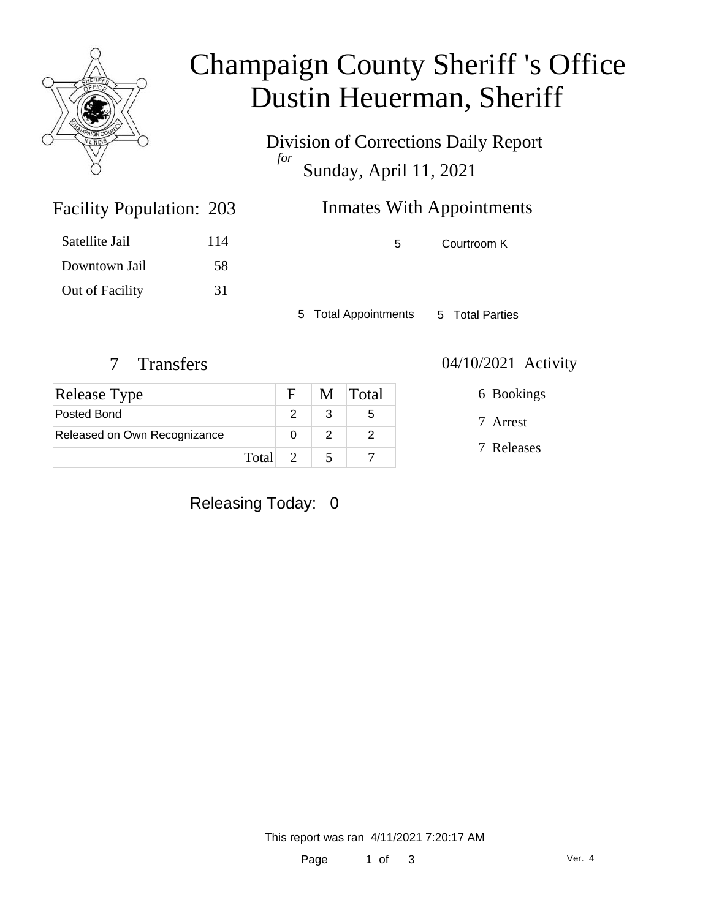

# Champaign County Sheriff 's Office Dustin Heuerman, Sheriff

Division of Corrections Daily Report *for* Sunday, April 11, 2021

### Inmates With Appointments

Satellite Jail 114 Downtown Jail 58 Out of Facility 31

Facility Population: 203

5 Courtroom K

5 Total Appointments 5 Total Parties

| <b>Release Type</b>          |         | F | M Total |
|------------------------------|---------|---|---------|
| Posted Bond                  |         |   | 5       |
| Released on Own Recognizance |         |   |         |
|                              | Total 2 |   |         |

7 Transfers 04/10/2021 Activity

6 Bookings

7 Arrest

7 Releases

Releasing Today: 0

This report was ran 4/11/2021 7:20:17 AM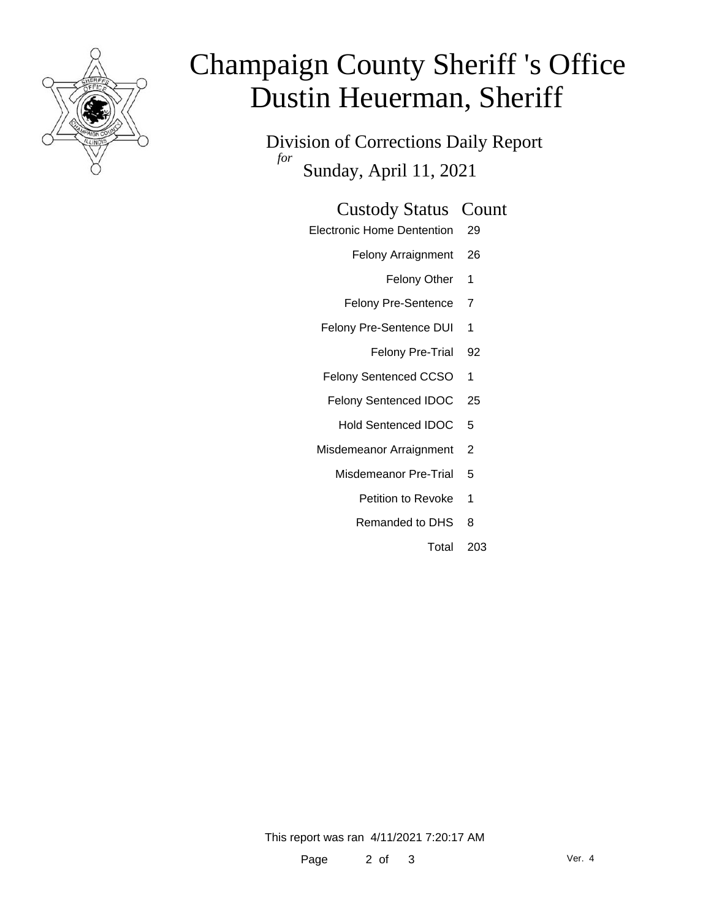

# Champaign County Sheriff 's Office Dustin Heuerman, Sheriff

Division of Corrections Daily Report *for* Sunday, April 11, 2021

### Custody Status Count

- Electronic Home Dentention 29
	- Felony Arraignment 26
		- Felony Other 1
	- Felony Pre-Sentence 7
	- Felony Pre-Sentence DUI 1
		- Felony Pre-Trial 92
	- Felony Sentenced CCSO 1
	- Felony Sentenced IDOC 25
		- Hold Sentenced IDOC 5
	- Misdemeanor Arraignment 2
		- Misdemeanor Pre-Trial 5
			- Petition to Revoke 1
			- Remanded to DHS 8
				- Total 203

This report was ran 4/11/2021 7:20:17 AM